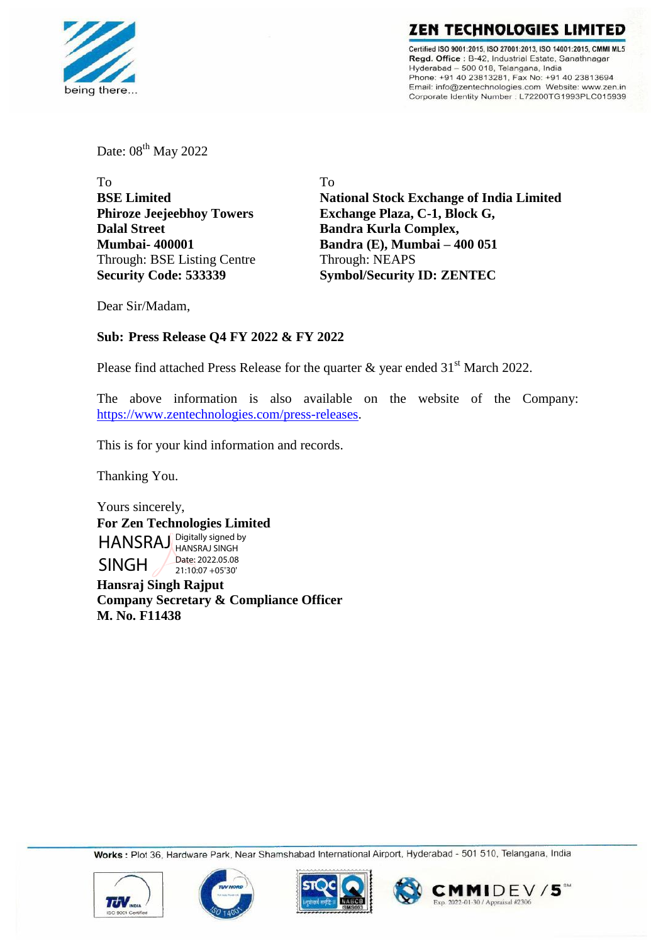

**ZEN TECHNOLOGIES LIMIT** Certified ISO 9001:2015. ISO 27001:2013. ISO 14001:2015. CMMI ML5 Regd. Office: B-42, Industrial Estate, Sanathnagar Hyderabad - 500 018, Telangana, India Phone: +91 40 23813281, Fax No: +91 40 23813694<br>Email: info@zentechnologies.com Website: www.zen.in Corporate Identity Number : L72200TG1993PLC015939

Date: 08<sup>th</sup> May 2022

| To                               | Tο                                                                                            |  |  |  |
|----------------------------------|-----------------------------------------------------------------------------------------------|--|--|--|
| <b>BSE Limited</b>               | <b>National Stock Exchange of India Limited</b>                                               |  |  |  |
| <b>Phiroze Jeejeebhoy Towers</b> | Exchange Plaza, C-1, Block G,<br><b>Bandra Kurla Complex,</b><br>Bandra (E), Mumbai - 400 051 |  |  |  |
| <b>Dalal Street</b>              |                                                                                               |  |  |  |
| <b>Mumbai-400001</b>             |                                                                                               |  |  |  |
| Through: BSE Listing Centre      | Through: NEAPS                                                                                |  |  |  |
| <b>Security Code: 533339</b>     | <b>Symbol/Security ID: ZENTEC</b>                                                             |  |  |  |
|                                  |                                                                                               |  |  |  |

Dear Sir/Madam,

# **Sub: Press Release Q4 FY 2022 & FY 2022**

Please find attached Press Release for the quarter  $\&$  year ended 31<sup>st</sup> March 2022.

The above information is also available on the website of the Company: [https://www.zentechnologies.com/press-releases.](https://www.zentechnologies.com/press-releases)

This is for your kind information and records.

Thanking You.

Yours sincerely, **For Zen Technologies Limited** HANSRAJ Digitally signed by SINGH HANSRAJ SINGH Date: 2022.05.08 21:10:07 +05'30'

**Hansraj Singh Rajput Company Secretary & Compliance Officer M. No. F11438**

Works : Plot 36, Hardware Park, Near Shamshabad International Airport, Hyderabad - 501 510, Telangana, India







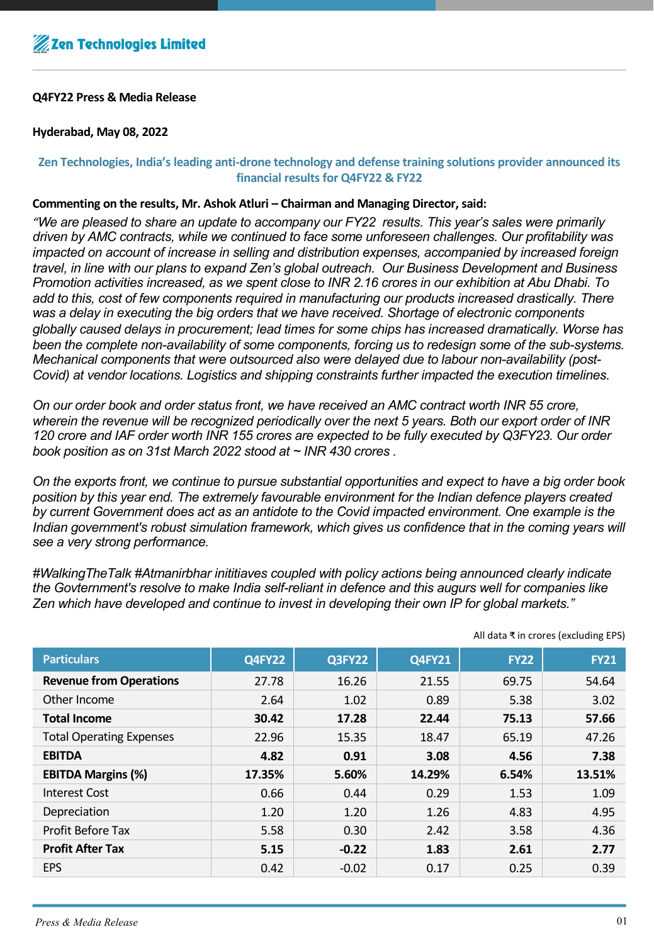# **Q4FY22 Press & Media Release**

# **Hyderabad, May 08, 2022**

# **Zen Technologies, India's leading anti-drone technology and defense training solutions provider announced its financial results for Q4FY22 & FY22**

## **Commenting on the results, Mr. Ashok Atluri – Chairman and Managing Director, said:**

*"We are pleased to share an update to accompany our FY22 results. This year's sales were primarily driven by AMC contracts, while we continued to face some unforeseen challenges. Our profitability was impacted on account of increase in selling and distribution expenses, accompanied by increased foreign travel, in line with our plans to expand Zen's global outreach. Our Business Development and Business Promotion activities increased, as we spent close to INR 2.16 crores in our exhibition at Abu Dhabi. To add to this, cost of few components required in manufacturing our products increased drastically. There was a delay in executing the big orders that we have received. Shortage of electronic components globally caused delays in procurement; lead times for some chips has increased dramatically. Worse has been the complete non-availability of some components, forcing us to redesign some of the sub-systems. Mechanical components that were outsourced also were delayed due to labour non-availability (post-Covid) at vendor locations. Logistics and shipping constraints further impacted the execution timelines.* 

*On our order book and order status front, we have received an AMC contract worth INR 55 crore, wherein the revenue will be recognized periodically over the next 5 years. Both our export order of INR 120 crore and IAF order worth INR 155 crores are expected to be fully executed by Q3FY23. Our order book position as on 31st March 2022 stood at ~ INR 430 crores .*

*On the exports front, we continue to pursue substantial opportunities and expect to have a big order book position by this year end. The extremely favourable environment for the Indian defence players created by current Government does act as an antidote to the Covid impacted environment. One example is the Indian government's robust simulation framework, which gives us confidence that in the coming years will see a very strong performance.* 

*#WalkingTheTalk #Atmanirbhar inititiaves coupled with policy actions being announced clearly indicate the Govternment's resolve to make India self-reliant in defence and this augurs well for companies like Zen which have developed and continue to invest in developing their own IP for global markets."*

| <b>Particulars</b>              | <b>Q4FY22</b> | Q3FY22  | <b>Q4FY21</b> | <b>FY22</b> | <b>FY21</b> |  |
|---------------------------------|---------------|---------|---------------|-------------|-------------|--|
| <b>Revenue from Operations</b>  | 27.78         | 16.26   | 21.55         | 69.75       | 54.64       |  |
| Other Income                    | 2.64          | 1.02    | 0.89          | 5.38        | 3.02        |  |
| <b>Total Income</b>             | 30.42         | 17.28   | 22.44         | 75.13       | 57.66       |  |
| <b>Total Operating Expenses</b> | 22.96         | 15.35   | 18.47         | 65.19       | 47.26       |  |
| <b>EBITDA</b>                   | 4.82          | 0.91    | 3.08          | 4.56        | 7.38        |  |
| <b>EBITDA Margins (%)</b>       | 17.35%        | 5.60%   | 14.29%        | 6.54%       | 13.51%      |  |
| <b>Interest Cost</b>            | 0.66          | 0.44    | 0.29          | 1.53        | 1.09        |  |
| Depreciation                    | 1.20          | 1.20    | 1.26          | 4.83        | 4.95        |  |
| <b>Profit Before Tax</b>        | 5.58          | 0.30    | 2.42          | 3.58        | 4.36        |  |
| <b>Profit After Tax</b>         | 5.15          | $-0.22$ | 1.83          | 2.61        | 2.77        |  |
| <b>EPS</b>                      | 0.42          | $-0.02$ | 0.17          | 0.25        | 0.39        |  |

All data ₹ in crores (excluding EPS)